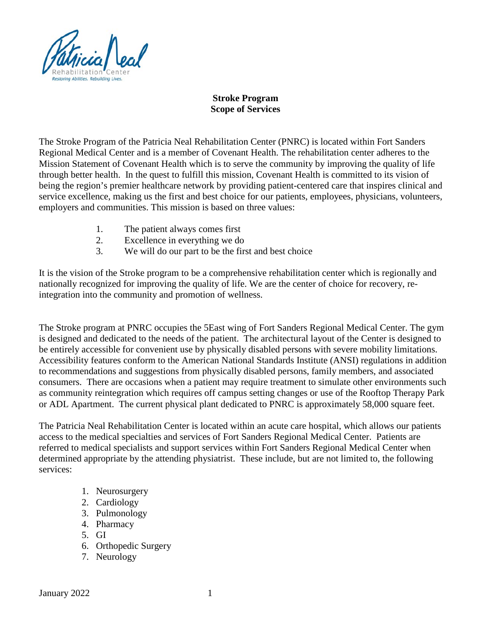

## **Stroke Program Scope of Services**

The Stroke Program of the Patricia Neal Rehabilitation Center (PNRC) is located within Fort Sanders Regional Medical Center and is a member of Covenant Health. The rehabilitation center adheres to the Mission Statement of Covenant Health which is to serve the community by improving the quality of life through better health. In the quest to fulfill this mission, Covenant Health is committed to its vision of being the region's premier healthcare network by providing patient-centered care that inspires clinical and service excellence, making us the first and best choice for our patients, employees, physicians, volunteers, employers and communities. This mission is based on three values:

- 1. The patient always comes first
- 2. Excellence in everything we do
- 3. We will do our part to be the first and best choice

It is the vision of the Stroke program to be a comprehensive rehabilitation center which is regionally and nationally recognized for improving the quality of life. We are the center of choice for recovery, reintegration into the community and promotion of wellness.

The Stroke program at PNRC occupies the 5East wing of Fort Sanders Regional Medical Center. The gym is designed and dedicated to the needs of the patient. The architectural layout of the Center is designed to be entirely accessible for convenient use by physically disabled persons with severe mobility limitations. Accessibility features conform to the American National Standards Institute (ANSI) regulations in addition to recommendations and suggestions from physically disabled persons, family members, and associated consumers. There are occasions when a patient may require treatment to simulate other environments such as community reintegration which requires off campus setting changes or use of the Rooftop Therapy Park or ADL Apartment. The current physical plant dedicated to PNRC is approximately 58,000 square feet.

The Patricia Neal Rehabilitation Center is located within an acute care hospital, which allows our patients access to the medical specialties and services of Fort Sanders Regional Medical Center. Patients are referred to medical specialists and support services within Fort Sanders Regional Medical Center when determined appropriate by the attending physiatrist. These include, but are not limited to, the following services:

- 1. Neurosurgery
- 2. Cardiology
- 3. Pulmonology
- 4. Pharmacy
- 5. GI
- 6. Orthopedic Surgery
- 7. Neurology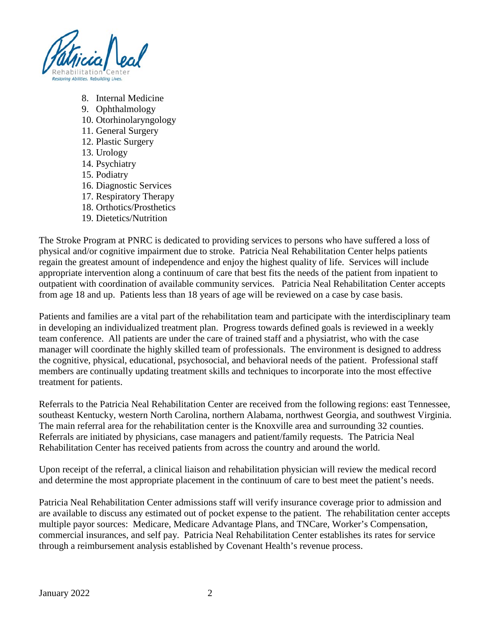

- 8. Internal Medicine
- 9. Ophthalmology
- 10. Otorhinolaryngology
- 11. General Surgery
- 12. Plastic Surgery
- 13. Urology
- 14. Psychiatry
- 15. Podiatry
- 16. Diagnostic Services
- 17. Respiratory Therapy
- 18. Orthotics/Prosthetics
- 19. Dietetics/Nutrition

The Stroke Program at PNRC is dedicated to providing services to persons who have suffered a loss of physical and/or cognitive impairment due to stroke. Patricia Neal Rehabilitation Center helps patients regain the greatest amount of independence and enjoy the highest quality of life. Services will include appropriate intervention along a continuum of care that best fits the needs of the patient from inpatient to outpatient with coordination of available community services. Patricia Neal Rehabilitation Center accepts from age 18 and up. Patients less than 18 years of age will be reviewed on a case by case basis.

Patients and families are a vital part of the rehabilitation team and participate with the interdisciplinary team in developing an individualized treatment plan. Progress towards defined goals is reviewed in a weekly team conference. All patients are under the care of trained staff and a physiatrist, who with the case manager will coordinate the highly skilled team of professionals. The environment is designed to address the cognitive, physical, educational, psychosocial, and behavioral needs of the patient. Professional staff members are continually updating treatment skills and techniques to incorporate into the most effective treatment for patients.

Referrals to the Patricia Neal Rehabilitation Center are received from the following regions: east Tennessee, southeast Kentucky, western North Carolina, northern Alabama, northwest Georgia, and southwest Virginia. The main referral area for the rehabilitation center is the Knoxville area and surrounding 32 counties. Referrals are initiated by physicians, case managers and patient/family requests. The Patricia Neal Rehabilitation Center has received patients from across the country and around the world.

Upon receipt of the referral, a clinical liaison and rehabilitation physician will review the medical record and determine the most appropriate placement in the continuum of care to best meet the patient's needs.

Patricia Neal Rehabilitation Center admissions staff will verify insurance coverage prior to admission and are available to discuss any estimated out of pocket expense to the patient. The rehabilitation center accepts multiple payor sources: Medicare, Medicare Advantage Plans, and TNCare, Worker's Compensation, commercial insurances, and self pay. Patricia Neal Rehabilitation Center establishes its rates for service through a reimbursement analysis established by Covenant Health's revenue process.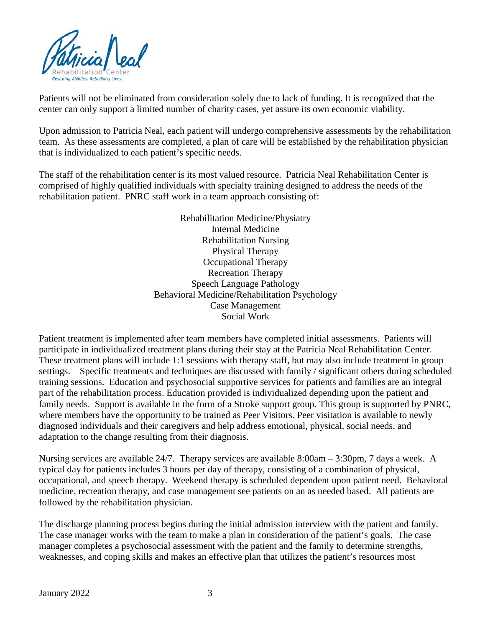

Patients will not be eliminated from consideration solely due to lack of funding. It is recognized that the center can only support a limited number of charity cases, yet assure its own economic viability.

Upon admission to Patricia Neal, each patient will undergo comprehensive assessments by the rehabilitation team. As these assessments are completed, a plan of care will be established by the rehabilitation physician that is individualized to each patient's specific needs.

The staff of the rehabilitation center is its most valued resource. Patricia Neal Rehabilitation Center is comprised of highly qualified individuals with specialty training designed to address the needs of the rehabilitation patient. PNRC staff work in a team approach consisting of:

> Rehabilitation Medicine/Physiatry Internal Medicine Rehabilitation Nursing Physical Therapy Occupational Therapy Recreation Therapy Speech Language Pathology Behavioral Medicine/Rehabilitation Psychology Case Management Social Work

Patient treatment is implemented after team members have completed initial assessments. Patients will participate in individualized treatment plans during their stay at the Patricia Neal Rehabilitation Center. These treatment plans will include 1:1 sessions with therapy staff, but may also include treatment in group settings. Specific treatments and techniques are discussed with family / significant others during scheduled training sessions. Education and psychosocial supportive services for patients and families are an integral part of the rehabilitation process. Education provided is individualized depending upon the patient and family needs. Support is available in the form of a Stroke support group. This group is supported by PNRC, where members have the opportunity to be trained as Peer Visitors. Peer visitation is available to newly diagnosed individuals and their caregivers and help address emotional, physical, social needs, and adaptation to the change resulting from their diagnosis.

Nursing services are available 24/7. Therapy services are available 8:00am – 3:30pm, 7 days a week. A typical day for patients includes 3 hours per day of therapy, consisting of a combination of physical, occupational, and speech therapy. Weekend therapy is scheduled dependent upon patient need. Behavioral medicine, recreation therapy, and case management see patients on an as needed based. All patients are followed by the rehabilitation physician.

The discharge planning process begins during the initial admission interview with the patient and family. The case manager works with the team to make a plan in consideration of the patient's goals. The case manager completes a psychosocial assessment with the patient and the family to determine strengths, weaknesses, and coping skills and makes an effective plan that utilizes the patient's resources most